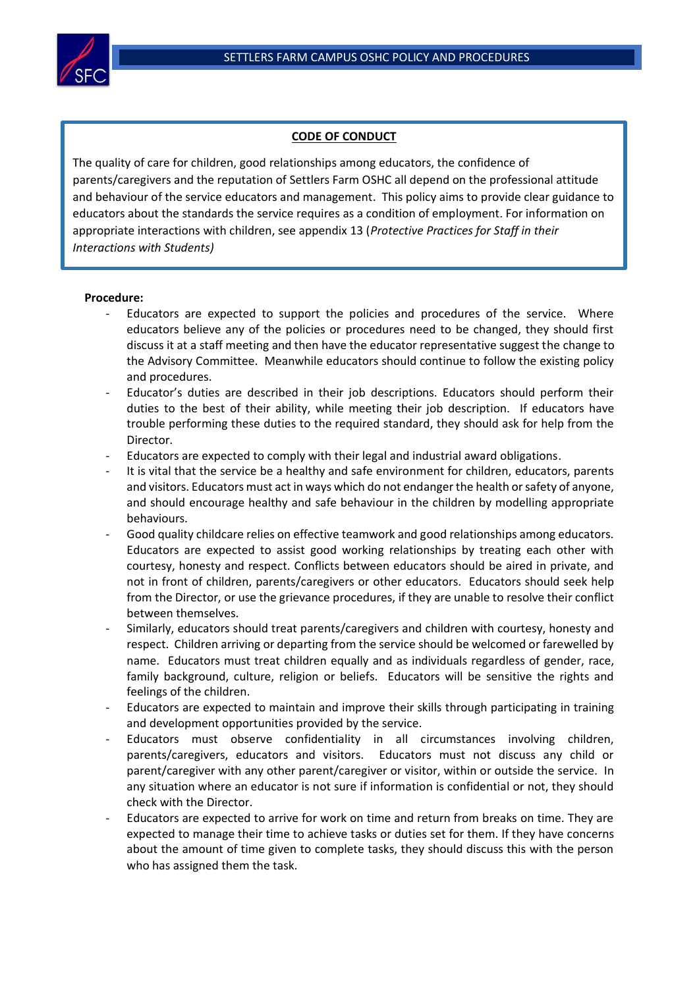

## **CODE OF CONDUCT**

 *Interactions with Students)*The quality of care for children, good relationships among educators, the confidence of parents/caregivers and the reputation of Settlers Farm OSHC all depend on the professional attitude and behaviour of the service educators and management. This policy aims to provide clear guidance to educators about the standards the service requires as a condition of employment. For information on appropriate interactions with children, see appendix 13 (*Protective Practices for Staff in their* 

## **Procedure:**

l

- Educators are expected to support the policies and procedures of the service. Where educators believe any of the policies or procedures need to be changed, they should first discuss it at a staff meeting and then have the educator representative suggest the change to the Advisory Committee. Meanwhile educators should continue to follow the existing policy and procedures.
- Educator's duties are described in their job descriptions. Educators should perform their duties to the best of their ability, while meeting their job description. If educators have trouble performing these duties to the required standard, they should ask for help from the Director.
- Educators are expected to comply with their legal and industrial award obligations.
- It is vital that the service be a healthy and safe environment for children, educators, parents and visitors. Educators must act in ways which do not endanger the health or safety of anyone, and should encourage healthy and safe behaviour in the children by modelling appropriate behaviours.
- Good quality childcare relies on effective teamwork and good relationships among educators. Educators are expected to assist good working relationships by treating each other with courtesy, honesty and respect. Conflicts between educators should be aired in private, and not in front of children, parents/caregivers or other educators. Educators should seek help from the Director, or use the grievance procedures, if they are unable to resolve their conflict between themselves.
- Similarly, educators should treat parents/caregivers and children with courtesy, honesty and respect. Children arriving or departing from the service should be welcomed or farewelled by name. Educators must treat children equally and as individuals regardless of gender, race, family background, culture, religion or beliefs. Educators will be sensitive the rights and feelings of the children.
- Educators are expected to maintain and improve their skills through participating in training and development opportunities provided by the service.
- Educators must observe confidentiality in all circumstances involving children, parents/caregivers, educators and visitors. Educators must not discuss any child or parent/caregiver with any other parent/caregiver or visitor, within or outside the service. In any situation where an educator is not sure if information is confidential or not, they should check with the Director.
- Educators are expected to arrive for work on time and return from breaks on time. They are expected to manage their time to achieve tasks or duties set for them. If they have concerns about the amount of time given to complete tasks, they should discuss this with the person who has assigned them the task.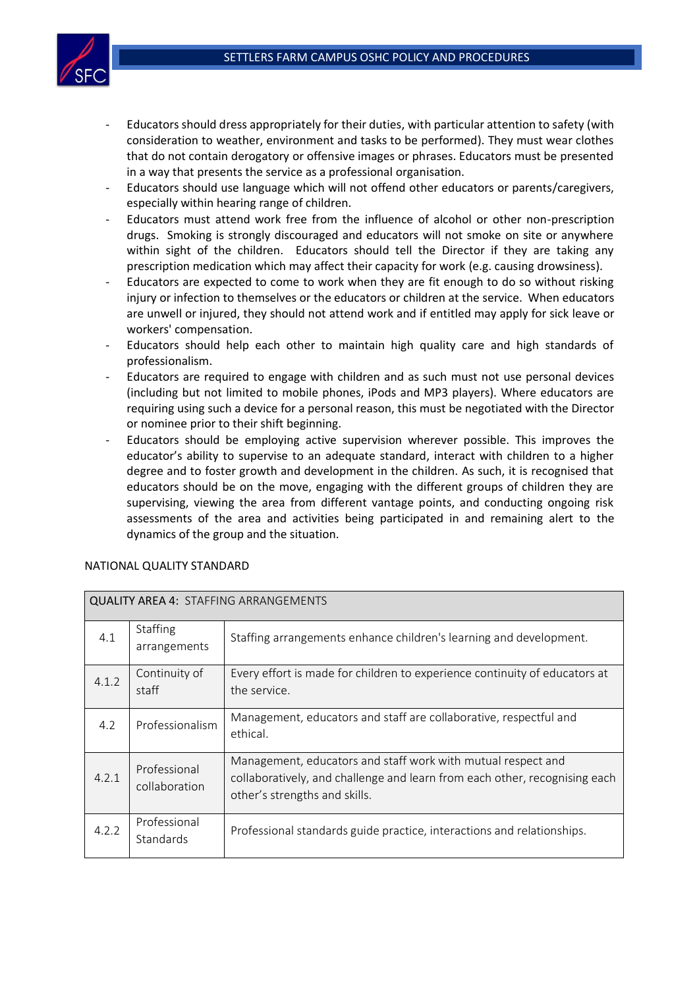

- Educators should dress appropriately for their duties, with particular attention to safety (with consideration to weather, environment and tasks to be performed). They must wear clothes that do not contain derogatory or offensive images or phrases. Educators must be presented in a way that presents the service as a professional organisation.
- Educators should use language which will not offend other educators or parents/caregivers, especially within hearing range of children.
- Educators must attend work free from the influence of alcohol or other non-prescription drugs. Smoking is strongly discouraged and educators will not smoke on site or anywhere within sight of the children. Educators should tell the Director if they are taking any prescription medication which may affect their capacity for work (e.g. causing drowsiness).
- Educators are expected to come to work when they are fit enough to do so without risking injury or infection to themselves or the educators or children at the service. When educators are unwell or injured, they should not attend work and if entitled may apply for sick leave or workers' compensation.
- Educators should help each other to maintain high quality care and high standards of professionalism.
- Educators are required to engage with children and as such must not use personal devices (including but not limited to mobile phones, iPods and MP3 players). Where educators are requiring using such a device for a personal reason, this must be negotiated with the Director or nominee prior to their shift beginning.
- Educators should be employing active supervision wherever possible. This improves the educator's ability to supervise to an adequate standard, interact with children to a higher degree and to foster growth and development in the children. As such, it is recognised that educators should be on the move, engaging with the different groups of children they are supervising, viewing the area from different vantage points, and conducting ongoing risk assessments of the area and activities being participated in and remaining alert to the dynamics of the group and the situation.

| <b>QUALITY AREA 4: STAFFING ARRANGEMENTS</b> |                                 |                                                                                                                                                                             |  |  |  |
|----------------------------------------------|---------------------------------|-----------------------------------------------------------------------------------------------------------------------------------------------------------------------------|--|--|--|
| 4.1                                          | <b>Staffing</b><br>arrangements | Staffing arrangements enhance children's learning and development.                                                                                                          |  |  |  |
| 4.1.2                                        | Continuity of<br>staff          | Every effort is made for children to experience continuity of educators at<br>the service.                                                                                  |  |  |  |
| 4.2                                          | Professionalism                 | Management, educators and staff are collaborative, respectful and<br>ethical.                                                                                               |  |  |  |
| 4.2.1                                        | Professional<br>collaboration   | Management, educators and staff work with mutual respect and<br>collaboratively, and challenge and learn from each other, recognising each<br>other's strengths and skills. |  |  |  |
| 4.2.2                                        | Professional<br>Standards       | Professional standards guide practice, interactions and relationships.                                                                                                      |  |  |  |

## NATIONAL QUALITY STANDARD